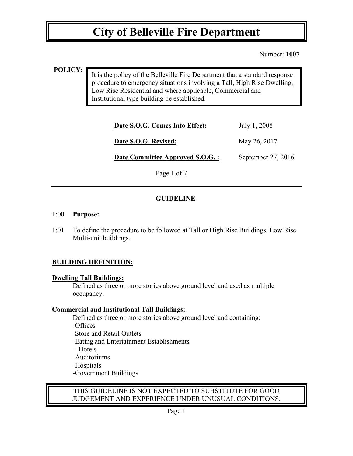Number: **1007**

## **POLICY:**

It is the policy of the Belleville Fire Department that a standard response procedure to emergency situations involving a Tall, High Rise Dwelling, Low Rise Residential and where applicable, Commercial and Institutional type building be established.

| Date S.O.G. Comes Into Effect:  | July 1, 2008       |
|---------------------------------|--------------------|
| Date S.O.G. Revised:            | May 26, 2017       |
| Date Committee Approved S.O.G.: | September 27, 2016 |
| Page 1 of 7                     |                    |

# **GUIDELINE**

#### 1:00 **Purpose:**

1:01 To define the procedure to be followed at Tall or High Rise Buildings, Low Rise Multi-unit buildings.

# **BUILDING DEFINITION:**

#### **Dwelling Tall Buildings:**

Defined as three or more stories above ground level and used as multiple occupancy.

#### **Commercial and Institutional Tall Buildings:**

Defined as three or more stories above ground level and containing: -Offices -Store and Retail Outlets -Eating and Entertainment Establishments - Hotels -Auditoriums -Hospitals -Government Buildings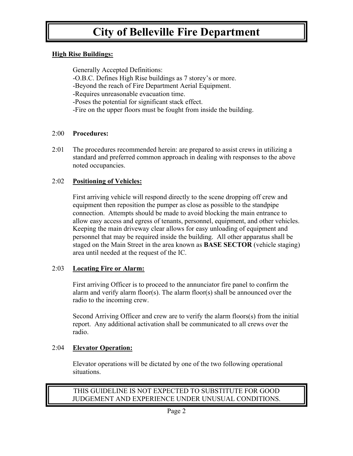## **High Rise Buildings:**

Generally Accepted Definitions: -O.B.C. Defines High Rise buildings as 7 storey's or more. -Beyond the reach of Fire Department Aerial Equipment. -Requires unreasonable evacuation time. -Poses the potential for significant stack effect. -Fire on the upper floors must be fought from inside the building.

## 2:00 **Procedures:**

2:01 The procedures recommended herein: are prepared to assist crews in utilizing a standard and preferred common approach in dealing with responses to the above noted occupancies.

## 2:02 **Positioning of Vehicles:**

 First arriving vehicle will respond directly to the scene dropping off crew and equipment then reposition the pumper as close as possible to the standpipe connection. Attempts should be made to avoid blocking the main entrance to allow easy access and egress of tenants, personnel, equipment, and other vehicles. Keeping the main driveway clear allows for easy unloading of equipment and personnel that may be required inside the building. All other apparatus shall be staged on the Main Street in the area known as **BASE SECTOR** (vehicle staging) area until needed at the request of the IC.

#### 2:03 **Locating Fire or Alarm:**

 First arriving Officer is to proceed to the annunciator fire panel to confirm the alarm and verify alarm floor(s). The alarm floor(s) shall be announced over the radio to the incoming crew.

Second Arriving Officer and crew are to verify the alarm floors(s) from the initial report. Any additional activation shall be communicated to all crews over the radio.

# 2:04 **Elevator Operation:**

 Elevator operations will be dictated by one of the two following operational situations.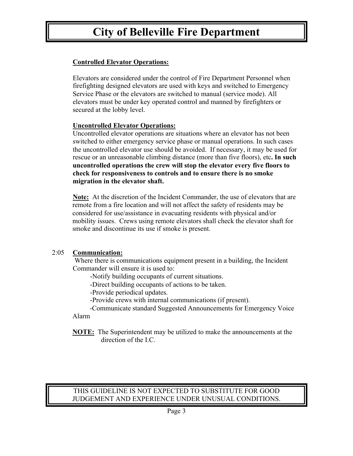# **Controlled Elevator Operations:**

Elevators are considered under the control of Fire Department Personnel when firefighting designed elevators are used with keys and switched to Emergency Service Phase or the elevators are switched to manual (service mode). All elevators must be under key operated control and manned by firefighters or secured at the lobby level.

# **Uncontrolled Elevator Operations:**

Uncontrolled elevator operations are situations where an elevator has not been switched to either emergency service phase or manual operations. In such cases the uncontrolled elevator use should be avoided. If necessary, it may be used for rescue or an unreasonable climbing distance (more than five floors), etc**. In such uncontrolled operations the crew will stop the elevator every five floors to check for responsiveness to controls and to ensure there is no smoke migration in the elevator shaft.**

**Note:** At the discretion of the Incident Commander, the use of elevators that are remote from a fire location and will not affect the safety of residents may be considered for use/assistance in evacuating residents with physical and/or mobility issues. Crews using remote elevators shall check the elevator shaft for smoke and discontinue its use if smoke is present.

# 2:05 **Communication:**

 Where there is communications equipment present in a building, the Incident Commander will ensure it is used to:

-Notify building occupants of current situations.

-Direct building occupants of actions to be taken.

-Provide periodical updates.

-Provide crews with internal communications (if present).

 -Communicate standard Suggested Announcements for Emergency Voice Alarm

**NOTE:** The Superintendent may be utilized to make the announcements at the direction of the I.C.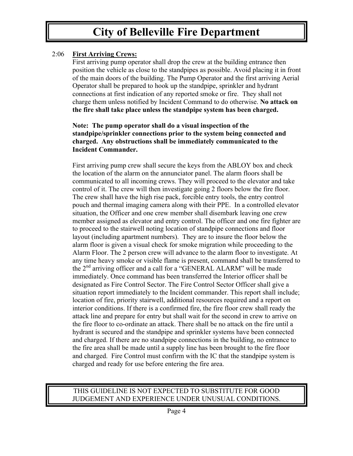# 2:06 **First Arriving Crews:**

First arriving pump operator shall drop the crew at the building entrance then position the vehicle as close to the standpipes as possible. Avoid placing it in front of the main doors of the building. The Pump Operator and the first arriving Aerial Operator shall be prepared to hook up the standpipe, sprinkler and hydrant connections at first indication of any reported smoke or fire. They shall not charge them unless notified by Incident Command to do otherwise. **No attack on the fire shall take place unless the standpipe system has been charged.**

#### **Note: The pump operator shall do a visual inspection of the standpipe/sprinkler connections prior to the system being connected and charged. Any obstructions shall be immediately communicated to the Incident Commander.**

First arriving pump crew shall secure the keys from the ABLOY box and check the location of the alarm on the annunciator panel. The alarm floors shall be communicated to all incoming crews. They will proceed to the elevator and take control of it. The crew will then investigate going 2 floors below the fire floor. The crew shall have the high rise pack, forcible entry tools, the entry control pouch and thermal imaging camera along with their PPE. In a controlled elevator situation, the Officer and one crew member shall disembark leaving one crew member assigned as elevator and entry control. The officer and one fire fighter are to proceed to the stairwell noting location of standpipe connections and floor layout (including apartment numbers). They are to insure the floor below the alarm floor is given a visual check for smoke migration while proceeding to the Alarm Floor. The 2 person crew will advance to the alarm floor to investigate. At any time heavy smoke or visible flame is present, command shall be transferred to the 2nd arriving officer and a call for a "GENERAL ALARM" will be made immediately. Once command has been transferred the Interior officer shall be designated as Fire Control Sector. The Fire Control Sector Officer shall give a situation report immediately to the Incident commander. This report shall include; location of fire, priority stairwell, additional resources required and a report on interior conditions. If there is a confirmed fire, the fire floor crew shall ready the attack line and prepare for entry but shall wait for the second in crew to arrive on the fire floor to co-ordinate an attack. There shall be no attack on the fire until a hydrant is secured and the standpipe and sprinkler systems have been connected and charged. If there are no standpipe connections in the building, no entrance to the fire area shall be made until a supply line has been brought to the fire floor and charged. Fire Control must confirm with the IC that the standpipe system is charged and ready for use before entering the fire area.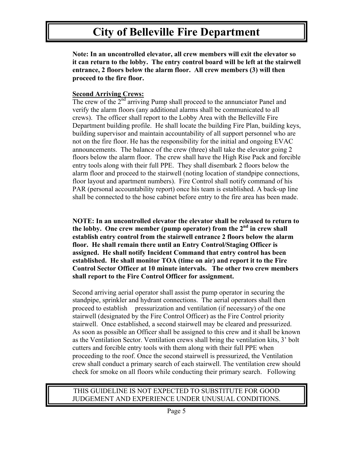**Note: In an uncontrolled elevator, all crew members will exit the elevator so it can return to the lobby. The entry control board will be left at the stairwell entrance, 2 floors below the alarm floor. All crew members (3) will then proceed to the fire floor.**

### **Second Arriving Crews:**

The crew of the  $2<sup>nd</sup>$  arriving Pump shall proceed to the annunciator Panel and verify the alarm floors (any additional alarms shall be communicated to all crews). The officer shall report to the Lobby Area with the Belleville Fire Department building profile. He shall locate the building Fire Plan, building keys, building supervisor and maintain accountability of all support personnel who are not on the fire floor. He has the responsibility for the initial and ongoing EVAC announcements. The balance of the crew (three) shall take the elevator going 2 floors below the alarm floor. The crew shall have the High Rise Pack and forcible entry tools along with their full PPE. They shall disembark 2 floors below the alarm floor and proceed to the stairwell (noting location of standpipe connections, floor layout and apartment numbers). Fire Control shall notify command of his PAR (personal accountability report) once his team is established. A back-up line shall be connected to the hose cabinet before entry to the fire area has been made.

**NOTE: In an uncontrolled elevator the elevator shall be released to return to the lobby. One crew member (pump operator) from the 2nd in crew shall establish entry control from the stairwell entrance 2 floors below the alarm floor. He shall remain there until an Entry Control/Staging Officer is assigned. He shall notify Incident Command that entry control has been established. He shall monitor TOA (time on air) and report it to the Fire Control Sector Officer at 10 minute intervals. The other two crew members shall report to the Fire Control Officer for assignment.**

Second arriving aerial operator shall assist the pump operator in securing the standpipe, sprinkler and hydrant connections. The aerial operators shall then proceed to establish pressurization and ventilation (if necessary) of the one stairwell (designated by the Fire Control Officer) as the Fire Control priority stairwell. Once established, a second stairwell may be cleared and pressurized. As soon as possible an Officer shall be assigned to this crew and it shall be known as the Ventilation Sector. Ventilation crews shall bring the ventilation kits, 3' bolt cutters and forcible entry tools with them along with their full PPE when proceeding to the roof. Once the second stairwell is pressurized, the Ventilation crew shall conduct a primary search of each stairwell. The ventilation crew should check for smoke on all floors while conducting their primary search. Following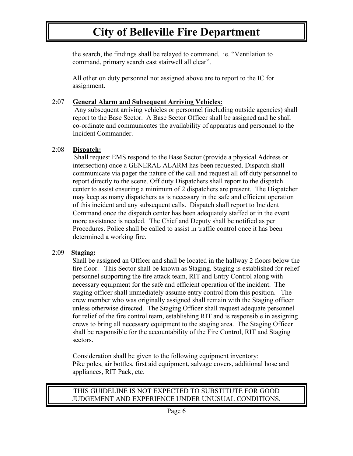the search, the findings shall be relayed to command. ie. "Ventilation to command, primary search east stairwell all clear".

All other on duty personnel not assigned above are to report to the IC for assignment.

## 2:07 **General Alarm and Subsequent Arriving Vehicles:**

 Any subsequent arriving vehicles or personnel (including outside agencies) shall report to the Base Sector. A Base Sector Officer shall be assigned and he shall co-ordinate and communicates the availability of apparatus and personnel to the Incident Commander.

## 2:08 **Dispatch:**

 Shall request EMS respond to the Base Sector (provide a physical Address or intersection) once a GENERAL ALARM has been requested. Dispatch shall communicate via pager the nature of the call and request all off duty personnel to report directly to the scene. Off duty Dispatchers shall report to the dispatch center to assist ensuring a minimum of 2 dispatchers are present. The Dispatcher may keep as many dispatchers as is necessary in the safe and efficient operation of this incident and any subsequent calls. Dispatch shall report to Incident Command once the dispatch center has been adequately staffed or in the event more assistance is needed. The Chief and Deputy shall be notified as per Procedures. Police shall be called to assist in traffic control once it has been determined a working fire.

# 2:09 **Staging:**

Shall be assigned an Officer and shall be located in the hallway 2 floors below the fire floor. This Sector shall be known as Staging. Staging is established for relief personnel supporting the fire attack team, RIT and Entry Control along with necessary equipment for the safe and efficient operation of the incident. The staging officer shall immediately assume entry control from this position. The crew member who was originally assigned shall remain with the Staging officer unless otherwise directed. The Staging Officer shall request adequate personnel for relief of the fire control team, establishing RIT and is responsible in assigning crews to bring all necessary equipment to the staging area. The Staging Officer shall be responsible for the accountability of the Fire Control, RIT and Staging sectors.

 Consideration shall be given to the following equipment inventory: Pike poles, air bottles, first aid equipment, salvage covers, additional hose and appliances, RIT Pack, etc.